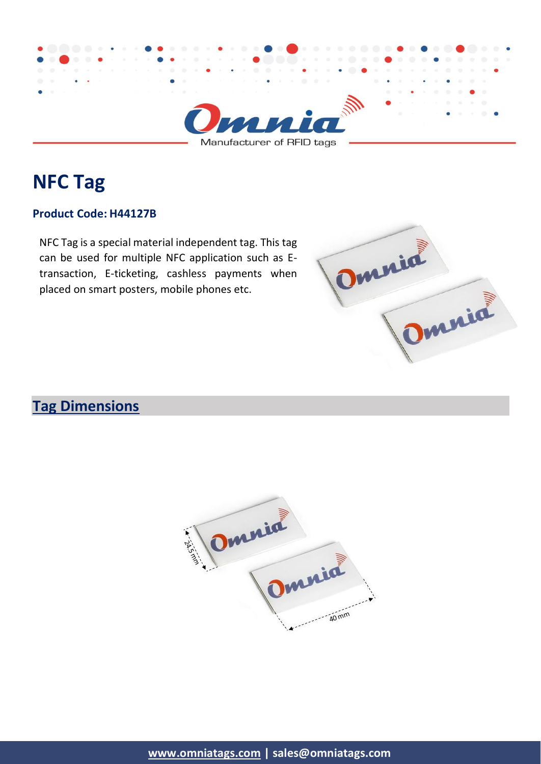

# **NFC Tag**

#### **Product Code: H44127B**

NFC Tag is a special material independent tag. This tag can be used for multiple NFC application such as Etransaction, E-ticketing, cashless payments when placed on smart posters, mobile phones etc.

| Omnia |
|-------|
| Omnia |
|       |
|       |

## **Tag Dimensions**

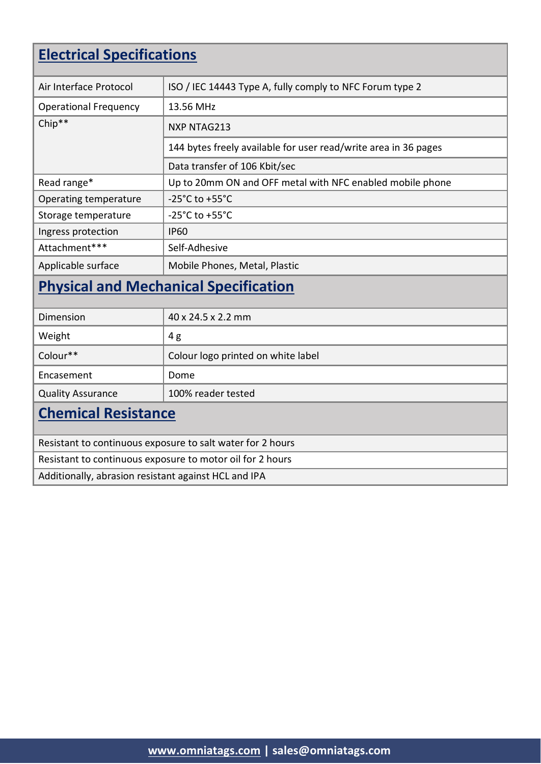| <b>Electrical Specifications</b>                           |                                                                 |  |  |
|------------------------------------------------------------|-----------------------------------------------------------------|--|--|
| Air Interface Protocol                                     | ISO / IEC 14443 Type A, fully comply to NFC Forum type 2        |  |  |
| <b>Operational Frequency</b>                               | 13.56 MHz                                                       |  |  |
|                                                            |                                                                 |  |  |
| Chip**                                                     | <b>NXP NTAG213</b>                                              |  |  |
|                                                            | 144 bytes freely available for user read/write area in 36 pages |  |  |
|                                                            | Data transfer of 106 Kbit/sec                                   |  |  |
| Read range*                                                | Up to 20mm ON and OFF metal with NFC enabled mobile phone       |  |  |
| Operating temperature                                      | $-25^{\circ}$ C to $+55^{\circ}$ C                              |  |  |
| Storage temperature                                        | -25 $^{\circ}$ C to +55 $^{\circ}$ C                            |  |  |
| Ingress protection                                         | <b>IP60</b>                                                     |  |  |
| Attachment***                                              | Self-Adhesive                                                   |  |  |
| Applicable surface                                         | Mobile Phones, Metal, Plastic                                   |  |  |
| <b>Physical and Mechanical Specification</b>               |                                                                 |  |  |
| Dimension                                                  | 40 x 24.5 x 2.2 mm                                              |  |  |
|                                                            |                                                                 |  |  |
| Weight                                                     | 4g                                                              |  |  |
| Colour**                                                   | Colour logo printed on white label                              |  |  |
| Encasement                                                 | Dome                                                            |  |  |
| <b>Quality Assurance</b>                                   | 100% reader tested                                              |  |  |
| <b>Chemical Resistance</b>                                 |                                                                 |  |  |
| Resistant to continuous exposure to salt water for 2 hours |                                                                 |  |  |
| Resistant to continuous exposure to motor oil for 2 hours  |                                                                 |  |  |
| Additionally, abrasion resistant against HCL and IPA       |                                                                 |  |  |